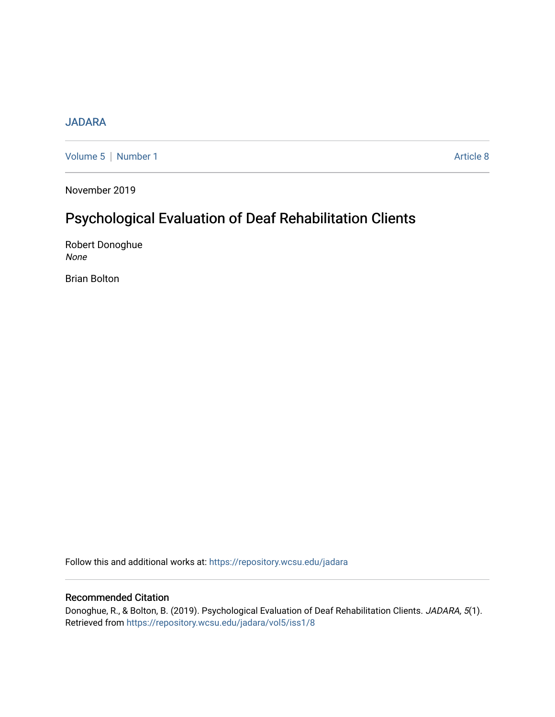# [JADARA](https://repository.wcsu.edu/jadara)

[Volume 5](https://repository.wcsu.edu/jadara/vol5) | [Number 1](https://repository.wcsu.edu/jadara/vol5/iss1) Article 8

November 2019

# Psychological Evaluation of Deaf Rehabilitation Clients

Robert Donoghue None

Brian Bolton

Follow this and additional works at: [https://repository.wcsu.edu/jadara](https://repository.wcsu.edu/jadara?utm_source=repository.wcsu.edu%2Fjadara%2Fvol5%2Fiss1%2F8&utm_medium=PDF&utm_campaign=PDFCoverPages)

# Recommended Citation

Donoghue, R., & Bolton, B. (2019). Psychological Evaluation of Deaf Rehabilitation Clients. JADARA, 5(1). Retrieved from [https://repository.wcsu.edu/jadara/vol5/iss1/8](https://repository.wcsu.edu/jadara/vol5/iss1/8?utm_source=repository.wcsu.edu%2Fjadara%2Fvol5%2Fiss1%2F8&utm_medium=PDF&utm_campaign=PDFCoverPages)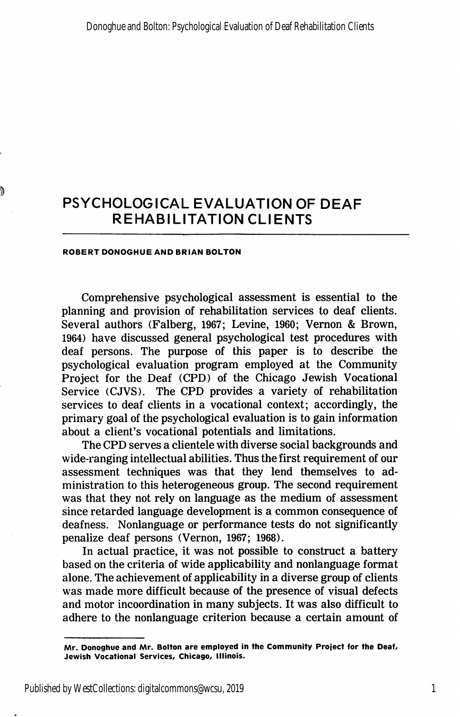#### ROBERT DONOGHUE AND BRIAN BOLTON

Comprehensive psychological assessment is essential to the planning and provision of rehabilitation services to deaf clients. Several authors (Falberg, 1967; Levine, 1960; Vernon & Brown, 1964) have discussed general psychological test procedures with deaf persons. The purpose of this paper is to describe the psychological evaluation program employed at the Community Project for the Deaf (CPD) of the Chicago Jewish Vocational Service (CJVS). The CPD provides a variety of rehabilitation services to deaf clients in a vocational context; accordingly, the primary goal of the psychological evaluation is to gain information about a client's vocational potentials and limitations.

The CPD serves a clientele with diverse social backgrounds and wide-ranging intellectual abilities. Thus the first requirement of our assessment techniques was that they lend themselves to ad ministration to this heterogeneous group. The second requirement was that they not rely on language as the medium of assessment since retarded language development is a common consequence of deafness. Nonlanguage or performance tests do not significantly penalize deaf persons (Vernon, 1967; 1968).

In actual practice, it was not possible to construct a battery based on the criteria of wide applicability and nonlanguage format alone. The achievement of applicability in a diverse group of clients was made more difficult because of the presence of visual defects and motor incoordination in many subjects. It was also difficult to adhere to the nonlanguage criterion because a certain amount of

Mr. Donoghue and Mr. Bolton are employed in the Community Project for the Deaf, Jewish Vocational Services, Chicago, Illinois.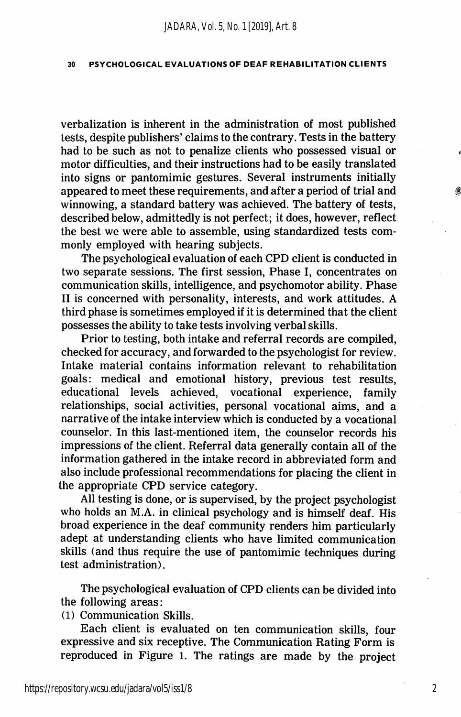verbalization is inherent in the administration of most published tests, despite publishers' claims to the contrary. Tests in the battery had to be such as not to penalize clients who possessed visual or motor difficulties, and their instructions had to be easily translated into signs or pantomimic gestures. Several instruments initially appeared to meet these requirements, and after a period of trial and winnowing, a standard battery was achieved. The battery of tests, described below, admittedly is not perfect; it does, however, reflect the best we were able to assemble, using standardized tests com monly employed with hearing subjects.

The psychological evaluation of each CPD client is conducted in two separate sessions. The first session. Phase I, concentrates on communication skills, intelligence, and psychomotor ability. Phase II is concerned with personality, interests, and work attitudes. A third phase is sometimes employed if it is determined that the client possesses the ability to take tests involving verbal skills.

Prior to testing, both intake and referral records are compiled, checked for accuracy, and forwarded to the psychologist for review. Intake material contains information relevant to rehabilitation goals: medical and emotional history, previous test results, educational levels achieved, vocational experience, family relationships, social activities, personal vocational aims, and a narrative of the intake interview which is conducted by a vocational counselor. In this last-mentioned item, the counselor records his impressions of the client. Referral data generally contain all of the information gathered in the intake record in abbreviated form and also include professional recommendations for placing the client in the appropriate CPD service category.

All testing is done, or is supervised, by the project psychologist who holds an M.A. in clinical psychology and is himself deaf. His broad experience in the deaf community renders him particularly adept at understanding clients who have limited communication skills (and thus require the use of pantomimic techniques during test administration).

The psychological evaluation of CPD clients can be divided into the following areas:

(1) Communication Skills.

Each client is evaluated on ten communication skills, four expressive and six receptive. The Communication Rating Form is reproduced in Figure 1. The ratings are made by the project

2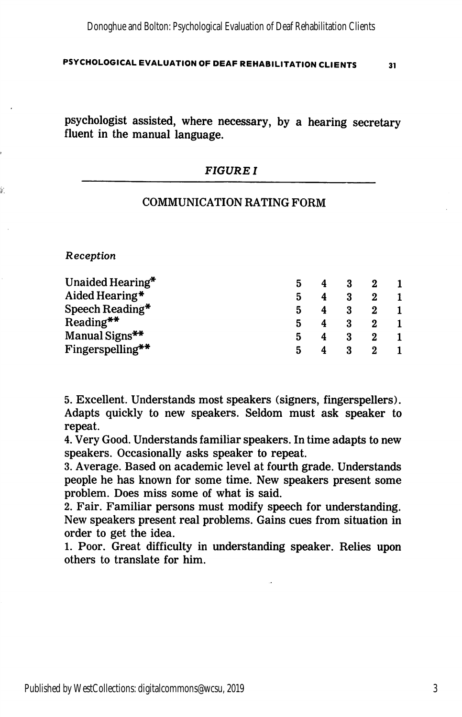psychologist assisted, where necessary, by a hearing secretary fluent in the manual language.

#### FIGURE I

#### COMMUNICATION RATING FORM

Reception

| Unaided Hearing* |   |  |  |
|------------------|---|--|--|
| Aided Hearing*   | 5 |  |  |
| Speech Reading*  |   |  |  |
| $Reading**$      |   |  |  |
| Manual Signs**   |   |  |  |
| Fingerspelling** |   |  |  |

5. Excellent. Understands most speakers (signers, fingerspellers). Adapts quickly to new speakers. Seldom must ask speaker to repeat.

4. Very Good. Understands familiar speakers. In time adapts to new speakers. Occasionally asks speaker to repeat.

3. Average. Based on academic level at fourth grade. Understands people he has known for some time. New speakers present some problem. Does miss some of what is said.

2. Fair. Familiar persons must modify speech for understanding. New speakers present real problems. Gains cues from situation in order to get the idea.

1. Poor. Great difficulty in understanding speaker. Relies upon others to translate for him.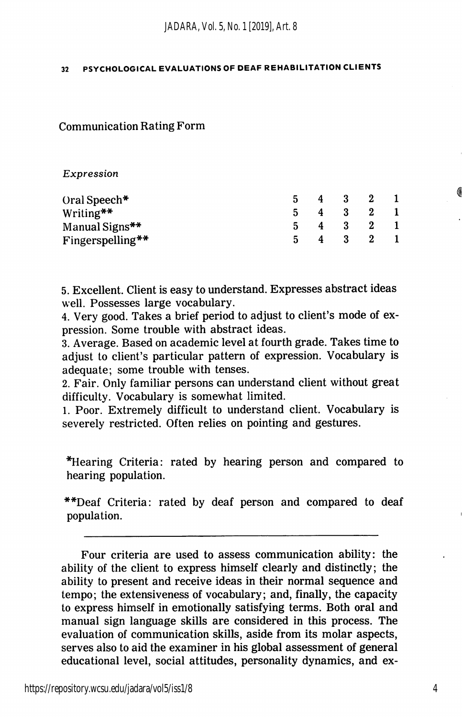Communication Rating Form

#### Expression

| Oral Speech*     | 4              | $\mathbf{3}$ | 2           |  |
|------------------|----------------|--------------|-------------|--|
| Writing**        | $\overline{4}$ |              | $3 \quad 2$ |  |
| Manual Signs**   |                | 4 3 2        |             |  |
| Fingerspelling** |                | - 3          | $\sim$ 2    |  |

5. Excellent. Client is easy to understand. Expresses abstract ideas well. Possesses large vocabulary.

4. Very good. Takes a brief period to adjust to client's mode of ex pression. Some trouble with abstract ideas.

3. Average. Based on academic level at fourth grade. Takes time to adjust to client's particular pattern of expression. Vocabulary is adequate; some trouble with tenses.

2. Fair. Only familiar persons can understand client without great difficulty. Vocabulary is somewhat limited.

1. Poor. Extremely difficult to understand client. Vocabulary is severely restricted. Often relies on pointing and gestures.

\*Hearing Criteria: rated by hearing person and compared to hearing population.

\*\*Deaf Criteria: rated by deaf person and compared to deaf population.

Four criteria are used to assess communication ability: the ability of the client to express himself clearly and distinctly; the ability to present and receive ideas in their normal sequence and tempo; the extensiveness of vocabulary; and, finally, the capacity to express himself in emotionally satisfying terms. Both oral and manual sign language skills are considered in this process. The evaluation of communication skills, aside from its molar aspects, serves also to aid the examiner in his global assessment of general educational level, social attitudes, personality dynamics, and ex-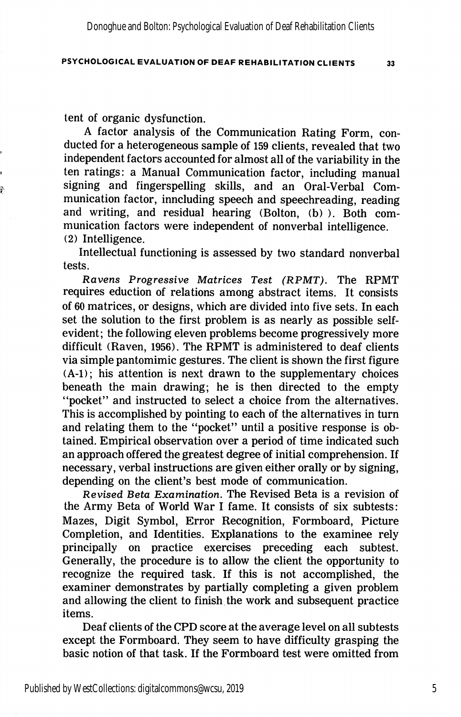tent of organic dysfunction.

P

A factor analysis of the Communication Rating Form, con ducted for a heterogeneous sample of 159 clients, revealed that two independent factors accounted for almost all of the variability in the ten ratings: a Manual Communication factor, including manual signing and fingerspelling skills, and an Oral-Verbal Com munication factor, inncluding speech and speechreading, reading and writing, and residual hearing (Bolton, (b) ). Both com munication factors were independent of nonverbal intelligence. (2) Intelligence.

Intellectual functioning is assessed by two standard nonverbal tests.

Ravens Progressive Matrices Test (RPMT). The RPMT requires eduction of relations among abstract items. It consists of 60 matrices, or designs, which are divided into five sets. In each set the solution to the first problem is as nearly as possible selfevident; the following eleven problems become progressively more difficult (Raven, 1956). The RPMT is administered to deaf clients via simple pantomimic gestures. The client is shown the first figure (A-1); his attention is next drawn to the supplementary choices beneath the main drawing; he is then directed to the empty "pocket" and instructed to select a choice from the alternatives. This is accomplished by pointing to each of the alternatives in turn and relating them to the "pocket" until a positive response is ob tained. Empirical observation over a period of time indicated such an approach offered the greatest degree of initial comprehension. If necessary, verbal instructions are given either orally or by signing, depending on the client's best mode of communication.

Revised Beta Examination. The Revised Beta is a revision of the Army Beta of World War I fame. It consists of six subtests: Mazes, Digit Symbol, Error Recognition, Formboard, Picture Completion, and Identities. Explanations to the examinee rely principally on practice exercises preceding each subtest. Generally, the procedure is to allow the client the opportunity to recognize the required task. If this is not accomplished, the examiner demonstrates by partially completing a given problem and allowing the client to finish the work and subsequent practice items.

Deaf clients of the CPD score at the average level on all subtests except the Formboard. They seem to have difficulty grasping the basic notion of that task. If the Formboard test were omitted from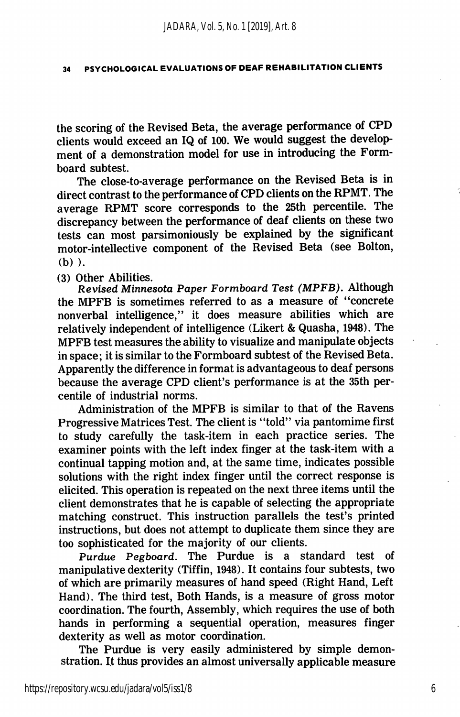the scoring of the Revised Beta, the average performance of CPD clients would exceed an IQ of 100. We would suggest the develop ment of a demonstration model for use in introducing the Formboard subtest.

The close-to-average performance on the Revised Beta is in direct contrast to the performance of CPD clients on the RPMT. The average RPMT score corresponds to the 25th percentile. The discrepancy between the performance of deaf clients on these two tests can most parsimoniously be explained by the significant motor-intellective component of the Revised Beta (see Bolton, (b) ).

(3) Other Abilities.

Revised Minnesota Paper Formboard Test (MPFB). Although the MPFB is sometimes referred to as a measure of "concrete nonverbal intelligence," it does measure abilities which are relatively independent of intelligence (Likert & Quasha, 1948). The MPFB test measures the ability to visualize and manipulate objects in space; it is similar to the Formboard subtest of the Revised Beta. Apparently the difference in format is advantageous to deaf persons because the average CPD client's performance is at the 35th per centile of industrial norms.

Administration of the MPFB is similar to that of the Ravens Progressive Matrices Test. The client is "told" via pantomime first to study carefully the task-item in each practice series. The examiner points with the left index finger at the task-item with a continual tapping motion and, at the same time, indicates possible solutions with the right index finger until the correct response is elicited. This operation is repeated on the next three items until the client demonstrates that he is capable of selecting the appropriate matching construct. This instruction parallels the test's printed instructions, but does not attempt to duplicate them since they are too sophisticated for the majority of our clients.

Purdue Pegboard. The Purdue is a standard test of manipulative dexterity (Tiffin, 1948). It contains four subtests, two of which are primarily measures of hand speed (Right Hand, Left Hand). The third test. Both Hands, is a measure of gross motor coordination. The fourth. Assembly, which requires the use of both hands in performing a sequential operation, measures finger dexterity as well as motor coordination.

The Purdue is very easily administered by simple demon stration. It thus provides an almost universally applicable measure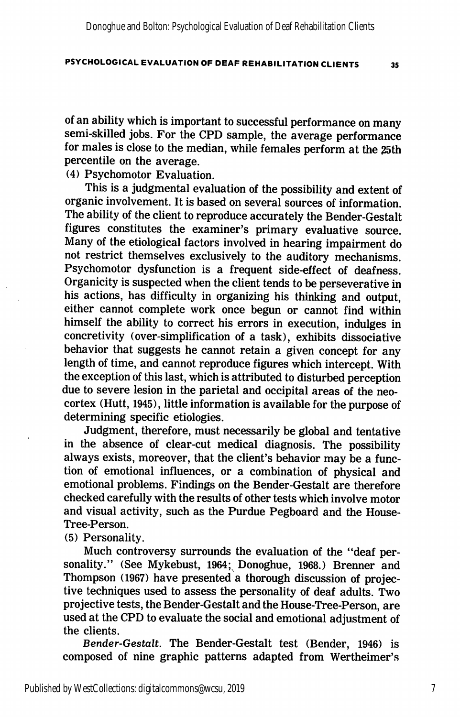of an ability which is important to successful performance on many semi-skilled jobs. For the CPD sample, the average performance for males is close to the median, while females perform at the 25th percentile on the average.

(4) Psychomotor Evaluation.

This is a judgmental evaluation of the possibility and extent of organic involvement. It is based on several sources of information. The ability of the client to reproduce accurately the Bender-Gestalt figures constitutes the examiner's primary evaluative source. Many of the etiological factors involved in hearing impairment do not restrict themselves exclusively to the auditory mechanisms. Psychomotor dysfunction is a frequent side-effect of deafness. Organicity is suspected when the client tends to be perseverative in his actions, has difficulty in organizing his thinking and output, either cannot complete work once begun or cannot find within himself the ability to correct his errors in execution, indulges in concretivity (over-simplification of a task), exhibits dissociative behavior that suggests he cannot retain a given concept for any length of time, and cannot reproduce figures which intercept. With the exception of this last, which is attributed to disturbed perception due to severe lesion in the parietal and occipital areas of the neocortex (Hutt, 1945), little information is available for the purpose of determining specific etiologies.

Judgment, therefore, must necessarily be global and tentative in the absence of clear-cut medical diagnosis. The possibility always exists, moreover, that the client's behavior may be a func tion of emotional influences, or a combination of physical and emotional problems. Findings on the Bender-Gestalt are therefore checked carefully with the results of other tests which involve motor and visual activity, such as the Purdue Pegboard and the House-Tree-Person.

(5) Personality.

Much controversy surrounds the evaluation of the "deaf per sonality." (See Mykebust, 1964; Donoghue, 1968.) Brenner and Thompson (1967) have presented a thorough discussion of projective techniques used to assess the personality of deaf adults. Two projective tests, the Bender-Gestalt and the House-Tree-Person, are used at the CPD to evaluate the social and emotional adjustment of the clients.

Bender-Gestalt. The Bender-Gestalt test (Bender, 1946) is composed of nine graphic patterns adapted from Wertheimer's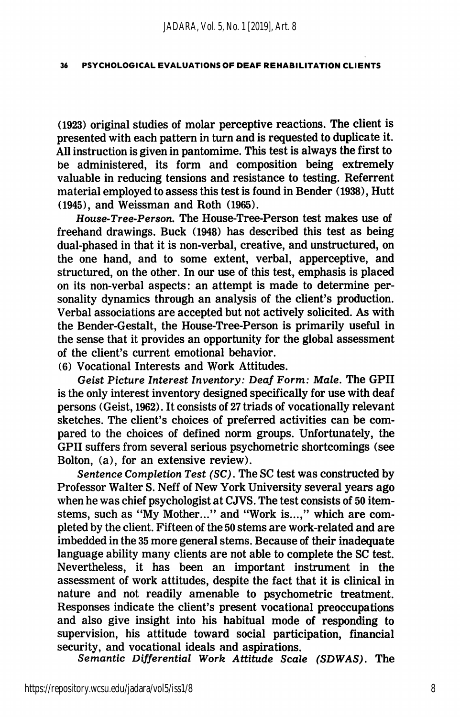(1923) original studies of molar perceptive reactions. The client is presented with each pattern in turn and is requested to duplicate it. All instruction is given in pantomime. This test is always the first to be administered, its form and composition being extremely valuable in reducing tensions and resistance to testing. Referrent material employed to assess this test is found in Bender (1938), Hutt (1945), and Weissman and Roth (1965).

House-Tree-Person. The House-Tree-Person test makes use of freehand drawings. Buck (1948) has described this test as being dual-phased in that it is non-verbal, creative, and unstructured, on the one hand, and to some extent, verbal, apperceptive, and structured, on the other. In our use of this test, emphasis is placed on its non-verbal aspects: an attempt is made to determine per sonality dynamics through an analysis of the client's production. Verbal associations are accepted but not actively solicited. As with the Bender-Gestalt, the House-Tree-Person is primarily useful in the sense that it provides an opportunity for the global assessment of the client's current emotional behavior.

(6) Vocational Interests and Work Attitudes.

Geist Picture Interest Inventory: Deaf Form: Male. The GPII is the only interest inventory designed specifically for use with deaf persons (Geist, 1962). It consists of 27 triads of vocationally relevant sketches. The client's choices of preferred activities can be com pared to the choices of defined norm groups. Unfortunately, the GPII suffers from several serious psychometric shortcomings (see Bolton, (a), for an extensive review).

Sentence Completion Test (SC). The SC test was constructed by Professor Walter S. Neff of New York University several years ago when he was chief psychologist at CJVS. The test consists of 50 itemstems, such as "My Mother..." and "Work is...," which are com pleted by the client. Fifteen of the 50 stems are work-related and are imbedded in the 35 more general stems. Because of their inadequate language ability many clients are not able to complete the SC test. Nevertheless, it has been an important instrument in the assessment of work attitudes, despite the fact that it is clinical in nature and not readily amenable to psychometric treatment. Responses indicate the client's present vocational preoccupations and also give insight into his habitual mode of responding to supervision, his attitude toward social participation, financial security, and vocational ideals and aspirations.

Semantic Differential Work Attitude Scale (SDWAS). The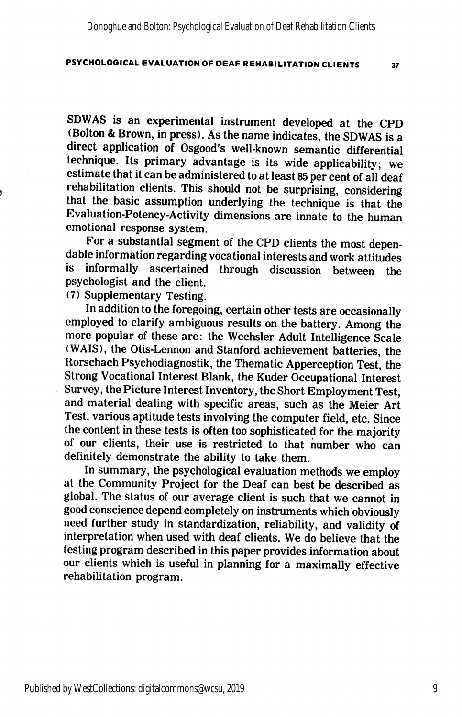SDWAS is an experimental instrument developed at the CPD (Bolton & Brown, in press). As the name indicates, the SDWAS is a direct application of Osgood's well-known semantic differential technique. Its primary advantage is its wide applicability; we estimate that it can be administered to at least 85 per cent of all deaf rehabilitation clients. This should not be surprising, considering that the basic assumption underlying the technique is that the Evaluation-Potency-Activity dimensions are innate to the human emotional response system.

For a substantial segment of the CPD clients the most depen dable information regarding vocational interests and work attitudes is informally ascertained through discussion between the psychologist and the client.

(7) Supplementary Testing.

In addition to the foregoing, certain other tests are occasionally employed to clarify ambiguous results on the battery. Among the more popular of these are: the Wechsler Adult Intelligence Scale (WAIS), the Otis-Lennon and Stanford achievement batteries, the Rorschach Psychodiagnostik, the Thematic Apperception Test, the Strong Vocational Interest Blank, the Kuder Occupational Interest Survey, the Picture Interest Inventory, the Short Employment Test, and material dealing with specific areas, such as the Meier Art Test, various aptitude tests involving the computer field, etc. Since the content in these tests is often too sophisticated for the majority of our clients, their use is restricted to that number who can definitely demonstrate the ability to take them.

In summary, the psychological evaluation methods we employ at the Community Project for the Deaf can best be described as global. The status of our average client is such that we cannot in good conscience depend completely on instruments which obviously need further study in standardization, reliability, and validity of interpretation when used with deaf clients. We do believe that the testing program described in this paper provides information about our clients which is useful in planning for a maximally effective rehabilitation program.

Published by WestCollections: digitalcommons@wcsu, 2019